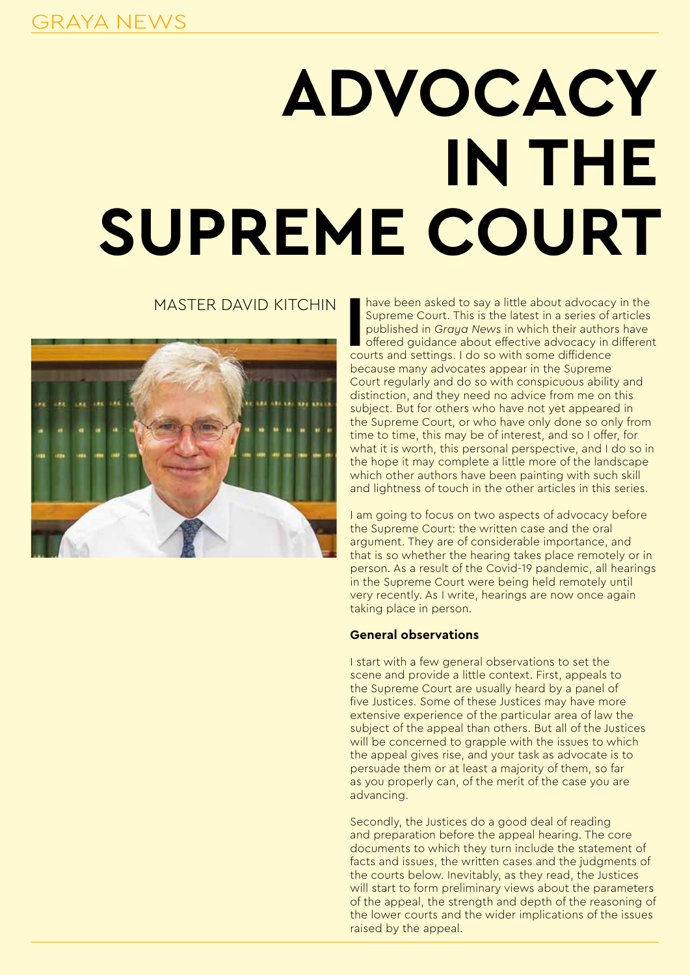# **ADVOCACY IN THE SUPREME COURT**

# MASTER DAVID KITCHIN



In the been asked to say a little about advocacy<br>
Supreme Court. This is the latest in a series of<br>
published in Graya News in which their author<br>
offered guidance about effective advocacy in<br>
courts and settings. I do so have been asked to say a little about advocacy in the Supreme Court. This is the latest in a series of articles published in *Graya News* in which their authors have offered guidance about effective advocacy in different because many advocates appear in the Supreme Court regularly and do so with conspicuous ability and distinction, and they need no advice from me on this subject. But for others who have not yet appeared in the Supreme Court, or who have only done so only from time to time, this may be of interest, and so I offer, for what it is worth, this personal perspective, and I do so in the hope it may complete a little more of the landscape which other authors have been painting with such skill and lightness of touch in the other articles in this series.

I am going to focus on two aspects of advocacy before the Supreme Court: the written case and the oral argument. They are of considerable importance, and that is so whether the hearing takes place remotely or in person. As a result of the Covid-19 pandemic, all hearings in the Supreme Court were being held remotely until very recently. As I write, hearings are now once again taking place in person.

### **General observations**

I start with a few general observations to set the scene and provide a little context. First, appeals to the Supreme Court are usually heard by a panel of five Justices. Some of these Justices may have more extensive experience of the particular area of law the subject of the appeal than others. But all of the Justices will be concerned to grapple with the issues to which the appeal gives rise, and your task as advocate is to persuade them or at least a majority of them, so far as you properly can, of the merit of the case you are advancing.

Secondly, the Justices do a good deal of reading and preparation before the appeal hearing. The core documents to which they turn include the statement of facts and issues, the written cases and the judgments of the courts below. Inevitably, as they read, the Justices will start to form preliminary views about the parameters of the appeal, the strength and depth of the reasoning of the lower courts and the wider implications of the issues raised by the appeal.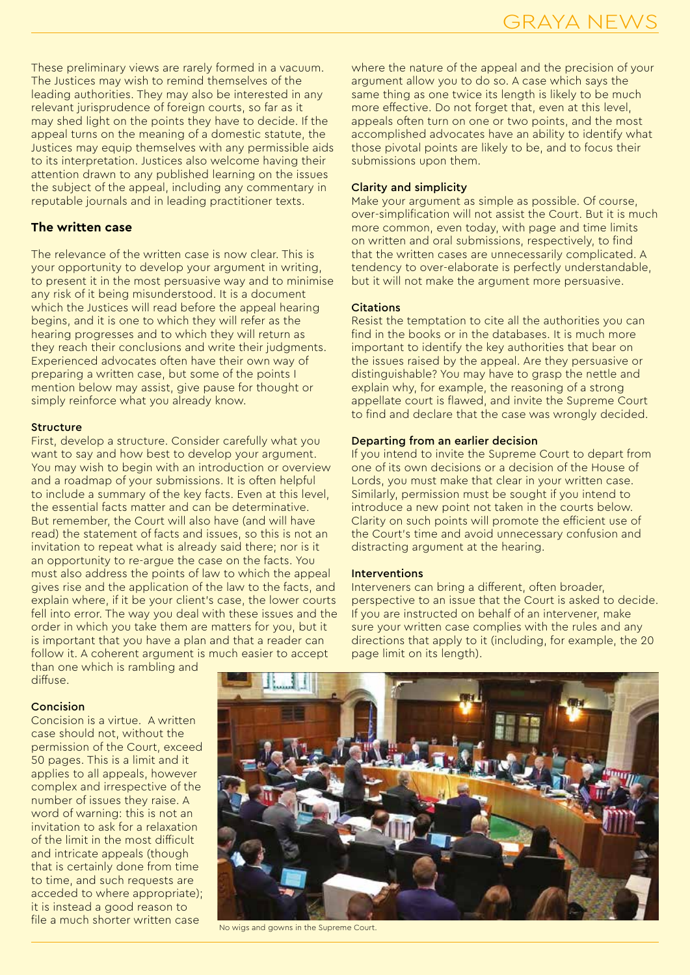These preliminary views are rarely formed in a vacuum. The Justices may wish to remind themselves of the leading authorities. They may also be interested in any relevant jurisprudence of foreign courts, so far as it may shed light on the points they have to decide. If the appeal turns on the meaning of a domestic statute, the Justices may equip themselves with any permissible aids to its interpretation. Justices also welcome having their attention drawn to any published learning on the issues the subject of the appeal, including any commentary in reputable journals and in leading practitioner texts.

### **The written case**

The relevance of the written case is now clear. This is your opportunity to develop your argument in writing, to present it in the most persuasive way and to minimise any risk of it being misunderstood. It is a document which the Justices will read before the appeal hearing begins, and it is one to which they will refer as the hearing progresses and to which they will return as they reach their conclusions and write their judgments. Experienced advocates often have their own way of preparing a written case, but some of the points I mention below may assist, give pause for thought or simply reinforce what you already know.

#### Structure

First, develop a structure. Consider carefully what you want to say and how best to develop your argument. You may wish to begin with an introduction or overview and a roadmap of your submissions. It is often helpful to include a summary of the key facts. Even at this level, the essential facts matter and can be determinative. But remember, the Court will also have (and will have read) the statement of facts and issues, so this is not an invitation to repeat what is already said there; nor is it an opportunity to re-argue the case on the facts. You must also address the points of law to which the appeal gives rise and the application of the law to the facts, and explain where, if it be your client's case, the lower courts fell into error. The way you deal with these issues and the order in which you take them are matters for you, but it is important that you have a plan and that a reader can follow it. A coherent argument is much easier to accept than one which is rambling and

diffuse.

### Concision

Concision is a virtue. A written case should not, without the permission of the Court, exceed 50 pages. This is a limit and it applies to all appeals, however complex and irrespective of the number of issues they raise. A word of warning: this is not an invitation to ask for a relaxation of the limit in the most difficult and intricate appeals (though that is certainly done from time to time, and such requests are acceded to where appropriate); it is instead a good reason to file a much shorter written case

where the nature of the appeal and the precision of your argument allow you to do so. A case which says the same thing as one twice its length is likely to be much more effective. Do not forget that, even at this level, appeals often turn on one or two points, and the most accomplished advocates have an ability to identify what those pivotal points are likely to be, and to focus their submissions upon them.

### Clarity and simplicity

Make your argument as simple as possible. Of course, over-simplification will not assist the Court. But it is much more common, even today, with page and time limits on written and oral submissions, respectively, to find that the written cases are unnecessarily complicated. A tendency to over-elaborate is perfectly understandable, but it will not make the argument more persuasive.

### Citations

Resist the temptation to cite all the authorities you can find in the books or in the databases. It is much more important to identify the key authorities that bear on the issues raised by the appeal. Are they persuasive or distinguishable? You may have to grasp the nettle and explain why, for example, the reasoning of a strong appellate court is flawed, and invite the Supreme Court to find and declare that the case was wrongly decided.

### Departing from an earlier decision

If you intend to invite the Supreme Court to depart from one of its own decisions or a decision of the House of Lords, you must make that clear in your written case. Similarly, permission must be sought if you intend to introduce a new point not taken in the courts below. Clarity on such points will promote the efficient use of the Court's time and avoid unnecessary confusion and distracting argument at the hearing.

### **Interventions**

Interveners can bring a different, often broader, perspective to an issue that the Court is asked to decide. If you are instructed on behalf of an intervener, make sure your written case complies with the rules and any directions that apply to it (including, for example, the 20 page limit on its length).



No wigs and gowns in the Supreme Court.